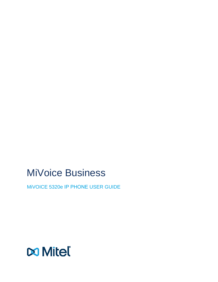# MiVoice Business

MiVOICE 5320e IP PHONE USER GUIDE

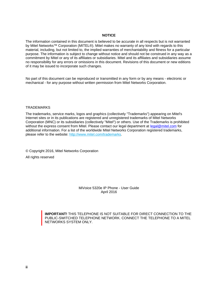#### **NOTICE**

The information contained in this document is believed to be accurate in all respects but is not warranted by Mitel Networks™ Corporation (MITEL®). Mitel makes no warranty of any kind with regards to this material, including, but not limited to, the implied warranties of merchantability and fitness for a particular purpose. The information is subject to change without notice and should not be construed in any way as a commitment by Mitel or any of its affiliates or subsidiaries. Mitel and its affiliates and subsidiaries assume no responsibility for any errors or omissions in this document. Revisions of this document or new editions of it may be issued to incorporate such changes.

No part of this document can be reproduced or transmitted in any form or by any means - electronic or mechanical - for any purpose without written permission from Mitel Networks Corporation.

#### **TRADEMARKS**

The trademarks, service marks, logos and graphics (collectively "Trademarks") appearing on Mitel's Internet sites or in its publications are registered and unregistered trademarks of Mitel Networks Corporation (MNC) or its subsidiaries (collectively "Mitel") or others. Use of the Trademarks is prohibited without the express consent from Mitel. Please contact our legal department at legal@mitel.com for additional information. For a list of the worldwide Mitel Networks Corporation registered trademarks, please refer to the website: [http://www.mitel.com/trademarks.](http://www.mitel.com/trademarks)

© Copyright 2016, Mitel Networks Corporation All rights reserved

> MiVoice 5320e IP Phone - User Guide April 2016

**IMPORTANT!** THIS TELEPHONE IS NOT SUITABLE FOR DIRECT CONNECTION TO THE PUBLIC-SWITCHED TELEPHONE NETWORK. CONNECT THE TELEPHONE TO A MITEL NETWORKS SYSTEM ONLY.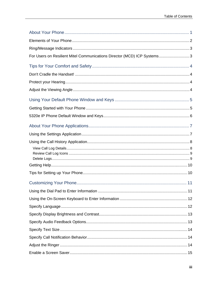| For Users on Resilient Mitel Communications Director (MCD) ICP Systems3 |  |
|-------------------------------------------------------------------------|--|
|                                                                         |  |
|                                                                         |  |
|                                                                         |  |
|                                                                         |  |
|                                                                         |  |
|                                                                         |  |
|                                                                         |  |
|                                                                         |  |
|                                                                         |  |
|                                                                         |  |
|                                                                         |  |
|                                                                         |  |
|                                                                         |  |
|                                                                         |  |
|                                                                         |  |
|                                                                         |  |
|                                                                         |  |
|                                                                         |  |
|                                                                         |  |
|                                                                         |  |
|                                                                         |  |
|                                                                         |  |
|                                                                         |  |
|                                                                         |  |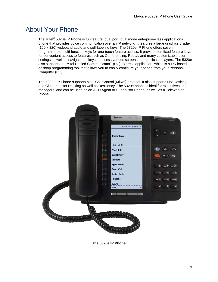## <span id="page-6-0"></span>About Your Phone

The Mitel® 5320e IP Phone is full-feature, dual port, dual mode enterprise-class applications phone that provides voice communication over an IP network. It features a large graphics display (160 x 320) wideband audio and self-labeling keys. The 5320e IP Phone offers seven programmable multi-function keys for one-touch feature access. It provides ten fixed feature keys for convenient access to features such as Conferencing, Redial, and many customizable user settings as well as navigational keys to access various screens and application layers. The 5320e also supports the Mitel Unified Communicator® (UC) Express application, which is a PC-based desktop programming tool that allows you to easily configure your phone from your Personal Computer (PC).

The 5320e IP Phone supports Mitel Call Control (MiNet) protocol. It also supports Hot Desking and Clustered Hot Desking as well as Resiliency. The 5320e phone is ideal for executives and managers, and can be used as an ACD Agent or Supervisor Phone, as well as a Teleworker Phone.



**The 5320e IP Phone**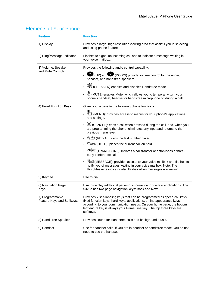<span id="page-7-0"></span>

|  |  | <b>Elements of Your Phone</b> |
|--|--|-------------------------------|
|  |  |                               |

| <b>Feature</b>                                | <b>Function</b>                                                                                                                                                                                                                                                                                                   |
|-----------------------------------------------|-------------------------------------------------------------------------------------------------------------------------------------------------------------------------------------------------------------------------------------------------------------------------------------------------------------------|
| 1) Display                                    | Provides a large, high-resolution viewing area that assists you in selecting<br>and using phone features.                                                                                                                                                                                                         |
| 2) Ring/Message Indicator                     | Flashes to signal an incoming call and to indicate a message waiting in<br>your voice mailbox.                                                                                                                                                                                                                    |
| 3) Volume, Speaker                            | Provides the following audio control capability:                                                                                                                                                                                                                                                                  |
| and Mute Controls                             | $\bullet$ (UP) and $\bullet$ (DOWN) provide volume control for the ringer,<br>handset, and handsfree speakers.                                                                                                                                                                                                    |
|                                               | • $\left \left \Psi\right \right $ (SPEAKER) enables and disables Handsfree mode.                                                                                                                                                                                                                                 |
|                                               | • <sup>1</sup> (MUTE) enables Mute, which allows you to temporarily turn your<br>phone's handset, headset or handsfree microphone off during a call.                                                                                                                                                              |
| 4) Fixed Function Keys                        | Gives you access to the following phone functions:                                                                                                                                                                                                                                                                |
|                                               | . The (MENU): provides access to menus for your phone's applications<br>and settings.                                                                                                                                                                                                                             |
|                                               | CANCEL): ends a call when pressed during the call, and, when you<br>are programming the phone, eliminates any input and returns to the<br>previous menu level.                                                                                                                                                    |
|                                               | 1 <sup>23</sup> (REDIAL): calls the last number dialed.                                                                                                                                                                                                                                                           |
|                                               | • $\Box \rightarrow \Box$ (HOLD): places the current call on hold.                                                                                                                                                                                                                                                |
|                                               | • $\sim$ $\sqrt{\omega}$ (TRANS/CONF): initiates a call transfer or establishes a three-<br>party conference call.                                                                                                                                                                                                |
|                                               | MESSAGE): provides access to your voice mailbox and flashes to<br>notify you of messages waiting in your voice mailbox. Note: The<br>Ring/Message indicator also flashes when messages are waiting.                                                                                                               |
| 5) Keypad                                     | Use to dial.                                                                                                                                                                                                                                                                                                      |
| 6) Navigation Page<br>Keys                    | Use to display additional pages of information for certain applications. The<br>5320e has two page navigation keys: Back and Next.                                                                                                                                                                                |
| 7) Programmable<br>Feature Keys and Softkeys. | Provides 7 self-labeling keys that can be programmed as speed call keys,<br>fixed function keys, hard keys, applications, or line appearance keys,<br>according to your communication needs. On your home page, the bottom<br>left feature key is always your Prime Line key. The top three keys are<br>softkeys. |
| 8) Handsfree Speaker                          | Provides sound for Handsfree calls and background music.                                                                                                                                                                                                                                                          |
| 9) Handset                                    | Use for handset calls. If you are in headset or handsfree mode, you do not<br>need to use the handset.                                                                                                                                                                                                            |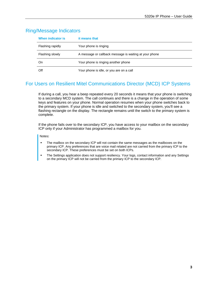## <span id="page-8-0"></span>Ring/Message Indicators

| When indicator is | it means that                                          |
|-------------------|--------------------------------------------------------|
| Flashing rapidly  | Your phone is ringing                                  |
| Flashing slowly   | A message or callback message is waiting at your phone |
| On                | Your phone is ringing another phone                    |
| Off               | Your phone is idle, or you are on a call               |

## <span id="page-8-1"></span>For Users on Resilient Mitel Communications Director (MCD) ICP Systems

If during a call, you hear a beep repeated every 20 seconds it means that your phone is switching to a secondary MCD system. The call continues and there is a change in the operation of some keys and features on your phone. Normal operation resumes when your phone switches back to the primary system. If your phone is idle and switched to the secondary system, you'll see a flashing rectangle on the display. The rectangle remains until the switch to the primary system is complete.

If the phone fails over to the secondary ICP, you have access to your mailbox on the secondary ICP only if your Administrator has programmed a mailbox for you.

Notes**:** 

- The mailbox on the secondary ICP will not contain the same messages as the mailboxes on the primary ICP. Any preferences that are voice mail related are not carried from the primary ICP to the secondary ICP. These preferences must be set on both ICPs.
- The Settings application does not support resiliency. Your logs, contact information and any Settings on the primary ICP will not be carried from the primary ICP to the secondary ICP.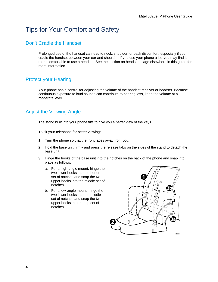## <span id="page-9-0"></span>Tips for Your Comfort and Safety

## <span id="page-9-1"></span>Don't Cradle the Handset!

Prolonged use of the handset can lead to neck, shoulder, or back discomfort, especially if you cradle the handset between your ear and shoulder. If you use your phone a lot, you may find it more comfortable to use a headset. See the section on headset usage elsewhere in this guide for more information.

## <span id="page-9-2"></span>Protect your Hearing

Your phone has a control for adjusting the volume of the handset receiver or headset. Because continuous exposure to loud sounds can contribute to hearing loss, keep the volume at a moderate level.

## <span id="page-9-3"></span>Adjust the Viewing Angle

The stand built into your phone tilts to give you a better view of the keys.

To tilt your telephone for better viewing:

- **1.** Turn the phone so that the front faces away from you.
- **2.** Hold the base unit firmly and press the release tabs on the sides of the stand to detach the base unit.
- **3.** Hinge the hooks of the base unit into the notches on the back of the phone and snap into place as follows:
	- a. For a high-angle mount, hinge the two lower hooks into the bottom set of notches and snap the two upper hooks into the middle set of notches.
	- b. For a low-angle mount, hinge the two lower hooks into the middle set of notches and snap the two upper hooks into the top set of notches.

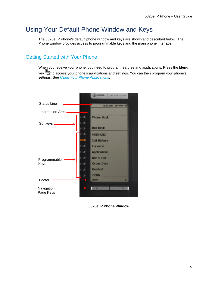## <span id="page-10-0"></span>Using Your Default Phone Window and Keys

The 5320e IP Phone's default phone window and keys are shown and described below. The Phone window provides access to programmable keys and the main phone interface.

## <span id="page-10-1"></span>Getting Started with Your Phone

When you receive your phone, you need to program features and applications. Press the **Menu** key to access your phone's applications and settings. You can then program your phone's settings. See *[Using Your Phone Applications](#page-11-1)*.



**5320e IP Phone Window**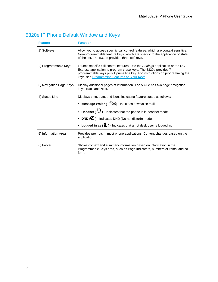## <span id="page-11-0"></span>5320e IP Phone Default Window and Keys

<span id="page-11-1"></span>

| <b>Feature</b>          | <b>Function</b>                                                                                                                                                                                                                                                                  |
|-------------------------|----------------------------------------------------------------------------------------------------------------------------------------------------------------------------------------------------------------------------------------------------------------------------------|
| 1) Softkeys             | Allow you to access specific call control features, which are context sensitive.<br>Non-programmable feature keys, which are specific to the application or state<br>of the set. The 5320e provides three softkeys.                                                              |
| 2) Programmable Keys    | Launch specific call control features. Use the Settings application or the UC<br>Express application to program these keys. The 5320e provides 7<br>programmable keys plus 1 prime line key. For instructions on programming the<br>keys, see Programming Features on Your Keys. |
| 3) Navigation Page Keys | Display additional pages of information. The 5320e has two page navigation<br>keys: Back and Next.                                                                                                                                                                               |
| 4) Status Line          | Displays time, date, and icons indicating feature states as follows:                                                                                                                                                                                                             |
|                         | • Message Waiting (SD) - Indicates new voice mail.                                                                                                                                                                                                                               |
|                         | • Headset $(\mathbf{Q})$ - Indicates that the phone is in headset mode.                                                                                                                                                                                                          |
|                         | • DND $\left(\bigcirc\right)$ - Indicates DND (Do not disturb) mode.                                                                                                                                                                                                             |
|                         | • Logged in as $(\triangle)$ - Indicates that a hot desk user is logged in.                                                                                                                                                                                                      |
| 5) Information Area     | Provides prompts in most phone applications. Content changes based on the<br>application.                                                                                                                                                                                        |
| 6) Footer               | Shows context and summary information based on information in the<br>Programmable Keys area, such as Page Indicators, numbers of items, and so<br>forth.                                                                                                                         |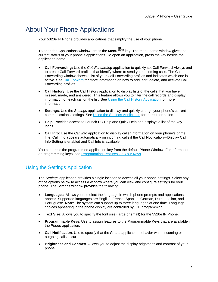## <span id="page-12-0"></span>About Your Phone Applications

Your 5320e IP Phone provides applications that simplify the use of your phone.

To open the Applications window, press the **Menu** key. The menu home window gives the current status of your phone's applications. To open an application, press the key beside the application name:

- **Call Forwarding:** Use the *Call Forwarding* application to quickly set Call Forward Always and to create Call Forward profiles that identify where to send your incoming calls. The Call Forwarding window shows a list of your Call Forwarding profiles and indicates which one is active. See [Call Forward](#page-33-1) for more information on how to add, edit, delete, and activate Call Forwarding profiles.
- **Call History:** Use the Call History application to display lists of the calls that you have missed, made, and answered. This feature allows you to filter the call records and display information on each call on the list. See [Using the Call History Application](#page-13-0) for more information.
- **Settings**: Use the *Settings* application to display and quickly change your phone's current communications settings. See [Using the Settings Application](#page-12-1) for more information.
- **Help**: Provides access to Launch PC Help and Quick Help and displays a list of the key icons.
- **Call Info**: Use the *Call Info* application to display caller information on your phone's prime line. Call Info appears automatically on incoming calls if the Call Notification—Display Call Info Setting is enabled and Call Info is available.

You can press the programmed application key from the default Phone Window. For information on programming keys, see [Programming Features On Your Keys.](#page-22-0)

## <span id="page-12-1"></span>Using the Settings Application

The *Settings* application provides a single location to access all your phone settings. Select any of the options below to access a window where you can view and configure settings for your phone. The Settings window provides the following:

- **Languages**: Allows you to select the language in which phone prompts and applications appear. Supported languages are English, French, Spanish, German, Dutch, Italian, and Portuguese. **Note**: The system can support up to three languages at one time. Language choices appearing in the phone display are controlled by ICP programming.
- **Text Size**: Allows you to specify the font size (large or small) for the 5320e IP Phone.
- **Programmable Keys**: Use to assign features to the Programmable Keys that are available in the *Phone* application.
- **Call Notification**: Use to specify that the *Phone* application behavior when incoming or outgoing calls occur.
- **Brightness and Contrast**: Allows you to adjust the display brightness and contrast of your phone.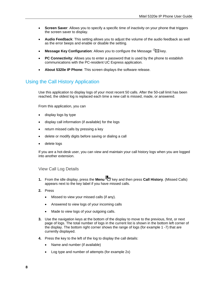- **Screen Saver**: Allows you to specify a specific time of inactivity on your phone that triggers the screen saver to display.
- **Audio Feedback**: This setting allows you to adjust the volume of the audio feedback as well as the error beeps and enable or disable the setting.
- **Message Key Configuration**: Allows you to configure the Message  $\mathbb{Z}$  key.
- **PC Connectivity**: Allows you to enter a password that is used by the phone to establish communications with the PC-resident UC Express application.
- **About 5320e IP Phone**: This screen displays the software release.

## <span id="page-13-0"></span>Using the Call History Application

Use this application to display logs of your most recent 50 calls. After the 50-call limit has been reached, the oldest log is replaced each time a new call is missed, made, or answered.

From this application, you can

- display logs by type
- display call information (if available) for the logs
- return missed calls by pressing a key
- delete or modify digits before saving or dialing a call
- delete logs

If you are a hot-desk user, you can view and maintain your call history logs when you are logged into another extension.

#### <span id="page-13-1"></span>View Call Log Details

- **1.** From the idle display, press the **Menu** key and then press **Call History**. (Missed Calls) appears next to the key label if you have missed calls.
- **2.** Press
	- Missed to view your missed calls (if any).
	- Answered to view logs of your incoming calls
	- Made to view logs of your outgoing calls.
- **3.** Use the navigation keys at the bottom of the display to move to the previous, first, or next page of logs. The total number of logs in the current list is shown in the bottom left corner of the display. The bottom right corner shows the range of logs (for example 1 -7) that are currently displayed.
- **4.** Press the key to the left of the log to display the call details:
	- Name and number (if available)
	- Log type and number of attempts (for example 2x)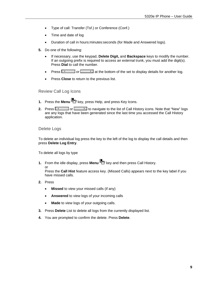- Type of call: Transfer (Tsf.) or Conference (Conf.)
- Time and date of log
- Duration of call in hours:minutes:seconds (for Made and Answered logs).
- **5.** Do one of the following:
	- If necessary, use the keypad, **Delete Digit,** and **Backspace** keys to modify the number. If an outgoing prefix is required to access an external trunk, you must add the digit(s). Press **Dial** to call the number.
	- Press  $\sim$  or  $\rightarrow$  at the bottom of the set to display details for another log.
	- Press **Close** to return to the previous list.

#### <span id="page-14-0"></span>Review Call Log Icons

- **1.** Press the **Menu** key, press Help, and press Key Icons.
- **2.** Press  $\overline{S}$  or **or the list of Call History icons.** Note that "New" logs are any logs that have been generated since the last time you accessed the Call History application.

#### <span id="page-14-1"></span>Delete Logs

To delete an individual log press the key to the left of the log to display the call details and then press **Delete Log Entry**.

To delete all logs by type

- **1.** From the idle display, press **Menu** key and then press Call History.
- or

Press the **Call Hist** feature access key. (Missed Calls) appears next to the key label if you have missed calls.

- **2.** Press
	- **Missed** to view your missed calls (if any)
	- **Answered** to view logs of your incoming calls
	- **Made** to view logs of your outgoing calls.
- **3.** Press **Delete** List to delete all logs from the currently displayed list.
- **4.** You are prompted to confirm the delete. Press **Delete**.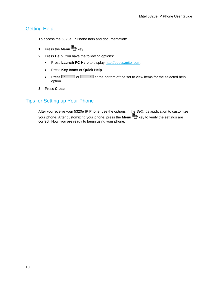## <span id="page-15-0"></span>Getting Help

To access the 5320e IP Phone help and documentation:

- **1.** Press the **Menu** key.
- **2.** Press **Help**. You have the following options:
	- **•** Press Launch PC Help to display [http://edocs.mitel.com](http://edocs.mitel.com/).
	- Press **Key Icons** or **Quick Help**.
	- Press  $\sqrt{1-\frac{1}{\sqrt{1-\frac{1}{\sqrt{1-\frac{1}{\sqrt{1-\frac{1}{\sqrt{1-\frac{1}{\sqrt{1-\frac{1}{\sqrt{1-\frac{1}{\sqrt{1-\frac{1}{\sqrt{1-\frac{1}{\sqrt{1-\frac{1}{\sqrt{1-\frac{1}{\sqrt{1-\frac{1}{\sqrt{1-\frac{1}{\sqrt{1-\frac{1}{\sqrt{1-\frac{1}{\sqrt{1-\frac{1}{\sqrt{1-\frac{1}{\sqrt{1-\frac{1}{\sqrt{1-\frac{1}{\sqrt{1-\frac{1}{\sqrt{1-\frac{1}{\sqrt{1-\frac{1}{\sqrt{1-\frac{1}{\sqrt{1-\$ option.
- **3.** Press **Close**.

## <span id="page-15-1"></span>Tips for Setting up Your Phone

After you receive your 5320e IP Phone, use the options in the *Settings* application to customize your phone. After customizing your phone, press the **Menu** key to verify the settings are correct. Now, you are ready to begin using your phone.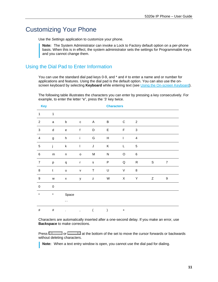## <span id="page-16-0"></span>Customizing Your Phone

Use the *Settings* application to customize your phone.

**Note:** The System Administrator can invoke a Lock to Factory default option on a per-phone basis. When this is in effect, the system administrator sets the settings for Programmable Keys and you cannot change them.

## <span id="page-16-1"></span>Using the Dial Pad to Enter Information

You can use the standard dial pad keys 0-9, and \* and # to enter a name and or number for applications and features. Using the dial pad is the default option. You can also use the onscreen keyboard by selecting **Keyboard** while entering text (see [Using the On-screen Keyboard](#page-17-0)).

The following table illustrates the characters you can enter by pressing a key consecutively. For example, to enter the letter "e", press the '3' key twice.

| <b>Key</b>       |               |                                   |              |                | <b>Characters</b>         |                          |                |   |                  |
|------------------|---------------|-----------------------------------|--------------|----------------|---------------------------|--------------------------|----------------|---|------------------|
| $\mathbf{1}$     | $\mathbf{1}$  |                                   |              |                |                           |                          |                |   |                  |
| $\overline{c}$   | $\mathsf a$   | $\sf b$                           | $\mathtt{C}$ | A              | B                         | $\mathbf C$              | $\overline{2}$ |   |                  |
| $\sqrt{3}$       | ${\sf d}$     | $\mathsf{e}% _{t}\left( t\right)$ | $\mathsf f$  | D              | $\mathsf E$               | $\mathsf F$              | $\sqrt{3}$     |   |                  |
| $\overline{4}$   | g             | $\boldsymbol{\mathsf{h}}$         | $\mathbf i$  | G              | $\boldsymbol{\mathsf{H}}$ | $\overline{\phantom{a}}$ | $\overline{4}$ |   |                  |
| $\mathbf 5$      | j             | $\sf k$                           | $\mathbf{I}$ | $\mathsf J$    | Κ                         | L                        | $\sqrt{5}$     |   |                  |
| $\,6\,$          | ${\sf m}$     | $\sf n$                           | $\mathsf{o}$ | ${\sf M}$      | ${\sf N}$                 | $\mathsf O$              | $\,6\,$        |   |                  |
| $\overline{7}$   | p             | $\mathtt{q}$                      | $\mathbf{r}$ | $\mathsf{s}$   | ${\sf P}$                 | Q                        | ${\sf R}$      | S | $\overline{7}$   |
| $\, 8$           | $\mathfrak t$ | $\sf u$                           | $\mathsf{V}$ | $\sf T$        | $\sf U$                   | $\mathsf V$              | $\bf 8$        |   |                  |
| $\boldsymbol{9}$ | ${\mathsf w}$ | $\pmb{\mathsf{X}}$                | у            | $\mathsf z$    | ${\sf W}$                 | $\mathsf X$              | Υ              | Z | $\boldsymbol{9}$ |
| $\pmb{0}$        | $\mathbf 0$   |                                   |              |                |                           |                          |                |   |                  |
| $\star$          | $\pmb{\ast}$  | Space                             |              |                |                           |                          |                |   |                  |
|                  |               | $\epsilon$ $\epsilon$             |              |                |                           |                          |                |   |                  |
| $\#$             | $\#$          |                                   | $\, ,$       | $\overline{(}$ |                           | $\ddot{}$                |                |   |                  |

Characters are automatically inserted after a one-second delay. If you make an error, use **Backspace** to make corrections.

Press  $\sim$  or  $\sim$  at the bottom of the set to move the cursor forwards or backwards without deleting characters.

**Note:** When a text entry window is open, you cannot use the dial pad for dialing.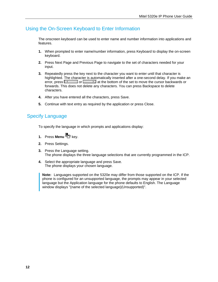## <span id="page-17-0"></span>Using the On-Screen Keyboard to Enter Information

The onscreen keyboard can be used to enter name and number information into applications and features.

- **1.** When prompted to enter name/number information, press Keyboard to display the on-screen keyboard.
- **2.** Press Next Page and Previous Page to navigate to the set of characters needed for your input.
- **3.** Repeatedly press the key next to the character you want to enter until that character is highlighted. The character is automatically inserted after a one-second delay. If you make an error, press  $\sqrt{a}$  or at the bottom of the set to move the cursor backwards or forwards. This does not delete any characters. You can press Backspace to delete characters.
- **4.** After you have entered all the characters, press Save.
- **5.** Continue with text entry as required by the application or press Close.

## <span id="page-17-1"></span>Specify Language

To specify the language in which prompts and applications display:

- **1.** Press **Menu** key.
- **2.** Press Settings.
- **3.** Press the Language setting. The phone displays the three language selections that are currently programmed in the ICP.
- **4.** Select the appropriate language and press Save. The phone displays your chosen language.

**Note:** Languages supported on the 5320e may differ from those supported on the ICP. If the phone is configured for an unsupported language, the prompts may appear in your selected language but the Application language for the phone defaults to English. The Language window displays "(name of the selected language)(Unsupported)".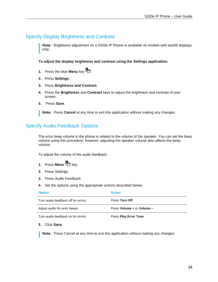## <span id="page-18-0"></span>Specify Display Brightness and Contrast

**Note:** Brightness adjustment on a 5320e IP Phone is available on models with backlit displays only.

**To adjust the display brightness and contrast using the** *Settings* **application:** 

- **1.** Press the blue **Menu** key **...**
- **2.** Press **Settings**.
- **3.** Press **Brightness and Contrast**.
- **4.** Press the **Brightness** and **Contrast** keys to adjust the brightness and contrast of your screen.
- **5.** Press **Save**.

**Note:** Press **Cancel** at any time to exit this application without making any changes.

## <span id="page-18-1"></span>Specify Audio Feedback Options

The error beep volume in the phone is related to the volume of the speaker. You can set the beep volume using this procedure; however, adjusting the speaker volume also affects the beep volume.

To adjust the volume of the audio feedback:

- **1.** Press **Menu** key.
- **2.** Press Settings.
- **3.** Press Audio Feedback.
- **4.** Set the options using the appropriate actions described below:

| <b>Option</b>                      | <b>Action</b>                |
|------------------------------------|------------------------------|
| Turn audio feedback off for errors | Press Turn Off.              |
| Adjust audio for error beeps       | Press Volume + or Volume -   |
| Turn audio feedback on for errors  | <b>Press Play Error Tone</b> |

**5.** Click **Save**.

**Note:** Press Cancel at any time to exit this application without making any changes.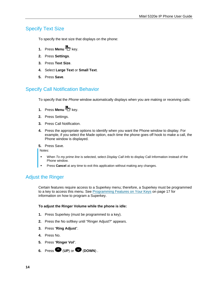## <span id="page-19-0"></span>Specify Text Size

To specify the text size that displays on the phone:

- **1.** Press **Menu** key.
- **2.** Press **Settings**.
- **3.** Press **Text Size**.
- **4.** Select **Large Text** or **Small Text**.
- **5.** Press **Save**.

## <span id="page-19-1"></span>Specify Call Notification Behavior

To specify that the *Phone* window automatically displays when you are making or receiving calls:

- **1.** Press **Menu** key.
- **2.** Press Settings.
- **3.** Press Call Notification.
- **4.** Press the appropriate options to identify when you want the Phone window to display. For example, if you select the Made option, each time the phone goes off hook to make a call, the Phone window is displayed.
- **5.** Press Save.

Notes:

- When *To my prime line* is selected, select *Display Call Info* to display Call Information instead of the Phone window.
- Press **Cancel** at any time to exit this application without making any changes.

## <span id="page-19-2"></span>Adjust the Ringer

Certain features require access to a Superkey menu; therefore, a Superkey must be programmed to a key to access this menu. See [Programming Features on Your Keys](#page-22-3) on page [17](#page-22-3) for information on how to program a Superkey.

#### **To adjust the Ringer Volume while the phone is idle:**

- **1.** Press Superkey (must be programmed to a key).
- **2.** Press the No softkey until "Ringer Adjust?" appears.
- **3.** Press "**Ring Adjust**".
- **4.** Press No.
- **5.** Press "**Ringer Vol**".
- **6.** Press  $\bullet$  (UP) or  $\bullet$  (DOWN).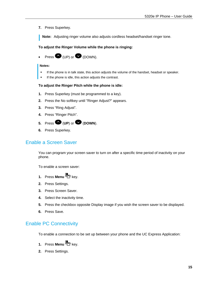**7.** Press Superkey.

**Note:** Adjusting ringer volume also adjusts cordless headset/handset ringer tone.

#### **To adjust the Ringer Volume while the phone is ringing:**

Press  $\bullet$  (UP) or  $\bullet$  (DOWN).

#### **Notes:**

- If the phone is in talk state, this action adjusts the volume of the handset, headset or speaker.
- If the phone is idle, this action adjusts the contrast.

#### **To adjust the Ringer Pitch while the phone is idle:**

- **1.** Press Superkey (must be programmed to a key).
- **2.** Press the No softkey until "Ringer Adjust?" appears.
- **3.** Press "Ring Adjust".
- **4.** Press "Ringer Pitch".
- **5.** Press  $\bullet$  (UP) or  $\bullet$  (DOWN).
- **6.** Press Superkey.

## <span id="page-20-0"></span>Enable a Screen Saver

You can program your screen saver to turn on after a specific time period of inactivity on your phone.

To enable a screen saver:

- **1.** Press **Menu** key.
- **2.** Press Settings.
- **3.** Press Screen Saver.
- **4.** Select the inactivity time.
- **5.** Press the checkbox opposite Display image if you wish the screen saver to be displayed.
- **6.** Press Save.

## <span id="page-20-1"></span>Enable PC Connectivity

To enable a connection to be set up between your phone and the UC Express Application:

- **1.** Press **Menu** key.
- **2.** Press Settings.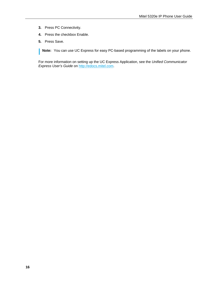- **3.** Press PC Connectivity.
- **4.** Press the checkbox Enable.
- **5.** Press Save.

**Note:** You can use UC Express for easy PC-based programming of the labels on your phone.

For more information on setting up the UC Express Application, see the *Unified Communicator Express User's Guide* on [http://edocs.mitel.com.](http://edocs.mitel.com/)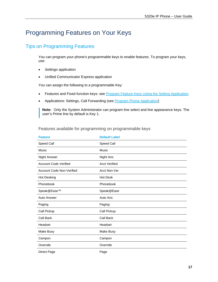## <span id="page-22-3"></span><span id="page-22-0"></span>Programming Features on Your Keys

## <span id="page-22-1"></span>Tips on Programming Features

You can program your phone's programmable keys to enable features. To program your keys, use:

- *Settings* application
- Unified Communicator Express application

You can assign the following to a programmable Key:

- Features and Fixed function keys: see [Program Feature Keys Using the Setting Application](#page-24-0)*.*
- Applications: Settings, Call Forwarding (see [Program Phone Application\)](#page-24-1)

**Note:** Only the System Administrator can program line select and line appearance keys. The user's Prime line by default is Key 1.

| <b>Feature</b>               | <b>Default Label</b> |
|------------------------------|----------------------|
| Speed Call                   | Speed Call           |
| Music                        | Music                |
| <b>Night Answer</b>          | Night Ans            |
| <b>Account Code Verified</b> | <b>Acct Verified</b> |
| Account Code Non-Verified    | Acct Non-Ver         |
| <b>Hot Desking</b>           | <b>Hot Desk</b>      |
| Phonebook                    | Phonebook            |
| Speak@Ease™                  | Speak@Ease           |
| Auto Answer                  | Auto Ans             |
| Paging                       | Paging               |
| Call Pickup                  | Call Pickup          |
| Call Back                    | Call Back            |
| Headset                      | Headset              |
| Make Busy                    | Make Busy            |
| Campon                       | Campon               |
| Override                     | Override             |
| Direct Page                  | Page                 |

<span id="page-22-2"></span>Features available for programming on programmable keys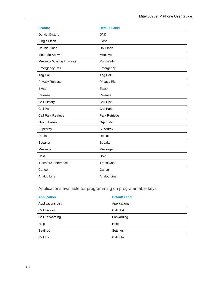| <b>Feature</b>            | <b>Default Label</b> |
|---------------------------|----------------------|
| Do Not Disturb            | <b>DND</b>           |
| Single Flash              | Flash                |
| Double Flash              | <b>Dbl Flash</b>     |
| Meet Me Answer            | Meet Me              |
| Message Waiting Indicator | Msg Waiting          |
| <b>Emergency Call</b>     | Emergency            |
| Tag Call                  | <b>Tag Call</b>      |
| Privacy Release           | Privacy RIs          |
| Swap                      | Swap                 |
| Release                   | Release              |
| Call History              | Call Hist            |
| <b>Call Park</b>          | <b>Call Park</b>     |
| <b>Call Park Retrieve</b> | Park Retrieve        |
| Group Listen              | <b>Grp Listen</b>    |
| Superkey                  | Superkey             |
| Redial                    | Redial               |
| Speaker                   | Speaker              |
| Message                   | Message              |
| Hold                      | Hold                 |
| Transfer/Conference       | Trans/Conf           |
| Cancel                    | Cancel               |
| Analog Line               | Analog Line          |

## Applications available for programming on programmable keys

<span id="page-23-0"></span>

| <b>Application</b> | <b>Default Label</b> |
|--------------------|----------------------|
| Applications List  | Applications         |
| Call History       | Call Hist            |
| Call Forwarding    | Forwarding           |
| Help               | Help                 |
| Settings           | Settings             |
| Call Info          | Call Info            |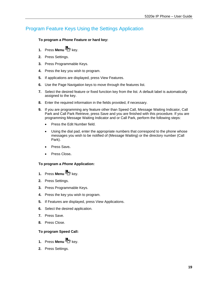## <span id="page-24-0"></span>Program Feature Keys Using the Settings Application

#### **To program a Phone Feature or hard key:**

- **1.** Press **Menu** key.
- **2.** Press Settings.
- **3.** Press Programmable Keys.
- **4.** Press the key you wish to program.
- **5.** If applications are displayed, press View Features.
- **6.** Use the Page Navigation keys to move through the features list.
- **7.** Select the desired feature or fixed function key from the list. A default label is automatically assigned to the key.
- **8.** Enter the required information in the fields provided, if necessary.
- **9.** If you are programming any feature other than Speed Call, Message Waiting Indicator, Call Park and Call Park Retrieve, press Save and you are finished with this procedure. If you are programming Message Waiting Indicator and or Call Park, perform the following steps:
	- Press the Edit Number field.
	- Using the dial pad, enter the appropriate numbers that correspond to the phone whose messages you wish to be notified of (Message Waiting) or the directory number (Call Park).
	- Press Save**.**
	- Press Close**.**

#### <span id="page-24-1"></span>**To program a** *Phone* **Application:**

- **1.** Press **Menu** key.
- **2.** Press Settings.
- **3.** Press Programmable Keys.
- **4.** Press the key you wish to program.
- **5.** If Features are displayed, press View Applications.
- **6.** Select the desired application.
- **7.** Press Save.
- **8.** Press Close.

#### **To program Speed Call:**

- **1.** Press **Menu** key.
- **2.** Press Settings.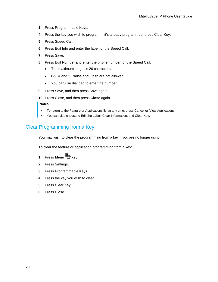- **3.** Press Programmable Keys.
- **4.** Press the key you wish to program. If it's already programmed, press Clear Key.
- **5.** Press Speed Call.
- **6.** Press Edit Info and enter the label for the Speed Call.
- **7.** Press Save.
- **8.** Press Edit Number and enter the phone number for the Speed Call:
	- The maximum length is 26 characters.
	- 0-9, # and \*. Pause and Flash are not allowed.
	- You can use dial pad to enter the number.
- **9.** Press Save, and then press Save again.
- **10.** Press Close, and then press **Close** again.

#### **Notes:**

- To return to the Feature or Applications list at any time, press Cancel **or** View Applications.
- You can also choose to Edit the Label, Clear Information, and Clear Key.

## <span id="page-25-0"></span>Clear Programming from a Key

You may wish to clear the programming from a key if you are no longer using it.

To clear the feature or application programming from a key:

- **1.** Press **Menu** key.
- **2.** Press Settings.
- **3.** Press Programmable Keys.
- **4.** Press the key you wish to clear.
- **5.** Press Clear Key.
- <span id="page-25-1"></span>**6.** Press Close.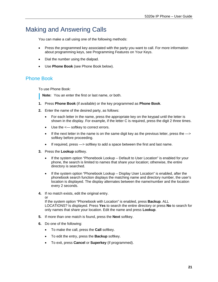## <span id="page-26-0"></span>Making and Answering Calls

You can make a call using one of the following methods:

- Press the programmed key associated with the party you want to call. For more information about programming keys, see [Programming Features on Your Keys.](#page-22-3)
- Dial the number using the dialpad.
- Use **Phone Book** (see [Phone Book](#page-25-1) below).

## <span id="page-26-1"></span>Phone Book

To use Phone Book:

**Note:** You an enter the first or last name, or both.

- **1.** Press **Phone Book** (if available) or the key programmed as **Phone Book**.
- **2.** Enter the name of the desired party, as follows:
	- For each letter in the name, press the appropriate key on the keypad until the letter is shown in the display. For example, if the letter C is required, press the digit 2 three times.
	- Use the <-- softkey to correct errors.
	- $\bullet$  If the next letter in the name is on the same digit key as the previous letter, press the  $\rightarrow$ softkey before proceeding.
	- If required, press —> softkey to add a space between the first and last name.
- **3.** Press the **Lookup** softkey.
	- If the system option "Phonebook Lookup Default to User Location" is enabled for your phone, the search is limited to names that share your location; otherwise, the entire directory is searched.
	- If the system option "Phonebook Lookup Display User Location" is enabled, after the phonebook search function displays the matching name and directory number, the user's location is displayed. The display alternates between the name/number and the location every 2 seconds.
- **4.** If no match exists, edit the original entry.

or

If the system option "Phonebook with Location" is enabled, press **Backup**. ALL LOCATIONS? Is displayed. Press **Yes** to search the entire directory or press **No** to search for only names that share your location. Edit the name and press **Lookup**.

- **5.** If more than one match is found, press the **Next** softkey.
- **6.** Do one of the following:
	- To make the call, press the **Call** softkey.
	- To edit the entry, press the **Backup** softkey.
	- To exit, press **Cancel** or **Superkey** (if programmed).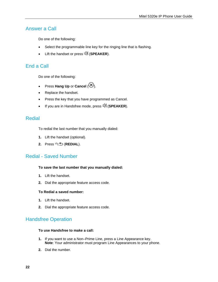## <span id="page-27-0"></span>Answer a Call

Do one of the following:

- Select the programmable line key for the ringing line that is flashing.
- **•** Lift the handset or press  $\vec{\mathbb{I}}$  (**SPEAKER**).

## <span id="page-27-1"></span>End a Call

Do one of the following:

- Press **Hang Up** or **Cancel**  $(\mathbf{\otimes})$ .
- Replace the handset.
- Press the key that you have programmed as Cancel.
- **If you are in Handsfree mode, press**  $\mathbb{I}$  **(SPEAKER).**

## <span id="page-27-2"></span>Redial

To redial the last number that you manually dialed:

- **1.** Lift the handset (optional).
- **2.** Press <sup>12</sup><sup>3</sup>.<sup>1</sup> (**REDIAL**).

## <span id="page-27-3"></span>Redial - Saved Number

#### **To save the last number that you manually dialed:**

- **1.** Lift the handset.
- **2.** Dial the appropriate feature access code.

#### **To Redial a saved number:**

- **1.** Lift the handset.
- **2.** Dial the appropriate feature access code.

## <span id="page-27-4"></span>Handsfree Operation

#### **To use Handsfree to make a call:**

- **1.** If you want to use a Non–Prime Line, press a Line Appearance key. **Note**: Your administrator must program Line Appearances to your phone.
- **2.** Dial the number.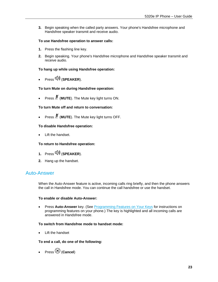**3.** Begin speaking when the called party answers. Your phone's Handsfree microphone and Handsfree speaker transmit and receive audio.

#### **To use Handsfree operation to answer calls:**

- **1.** Press the flashing line key.
- **2.** Begin speaking. Your phone's Handsfree microphone and Handsfree speaker transmit and receive audio.

#### **To hang up while using Handsfree operation:**

Press (**SPEAKER**).

#### **To turn Mute on during Handsfree operation:**

Press (**MUTE**). The Mute key light turns ON.

#### **To turn Mute off and return to conversation:**

Press (**MUTE**). The Mute key light turns OFF.

#### **To disable Handsfree operation:**

Lift the handset.

#### **To return to Handsfree operation:**

- **1.** Press  $\overline{\psi}$  (**SPEAKER**).
- **2.** Hang up the handset.

### <span id="page-28-0"></span>Auto-Answer

When the Auto-Answer feature is active, incoming calls ring briefly, and then the phone answers the call in Handsfree mode. You can continue the call handsfree or use the handset.

#### **To enable or disable Auto-Answer:**

 Press **Auto-Answer** key. (See [Programming Features on Your Keys](#page-22-0) for instructions on programming features on your phone.) The key is highlighted and all incoming calls are answered in Handsfree mode.

#### **To switch from Handsfree mode to handset mode:**

• Lift the handset

#### **To end a call, do one of the following:**

• Press<sup>(2)</sup> (Cancel)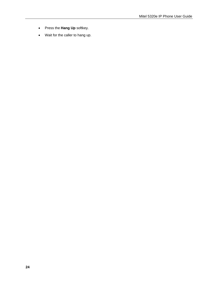- Press the **Hang Up** softkey.
- Wait for the caller to hang up.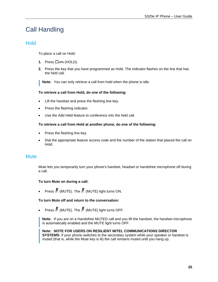## <span id="page-30-0"></span>Call Handling

## <span id="page-30-1"></span>**Hold**

To place a call on Hold:

- 1. Press □∞ (HOLD).
- **2.** Press the key that you have programmed as Hold. The indicator flashes on the line that has the held call.

**Note:** You can only retrieve a call from hold when the phone is idle.

#### **To retrieve a call from Hold, do one of the following:**

- Lift the handset and press the flashing line key.
- Press the flashing indicator.
- Use the Add Held feature to conference into the held call.

#### **To retrieve a call from Hold at another phone, do one of the following:**

- Press the flashing line key.
- Dial the appropriate feature access code and the number of the station that placed the call on Hold.

#### <span id="page-30-2"></span>**Mute**

Mute lets you temporarily turn your phone's handset, headset or handsfree microphone off during a call.

#### **To turn Mute on during a call:**

Press  $\AA$  (MUTE). The  $\AA$  (MUTE) light turns ON.

#### **To turn Mute off and return to the conversation:**

Press  $\cancel{\mathbb{A}}$  (MUTE). The  $\cancel{\mathbb{A}}$  (MUTE) light turns OFF.

**Note:** If you are on a Handsfree MUTED call and you lift the handset, the handset microphone is automatically enabled and the MUTE light turns OFF.

**Note: NOTE FOR USERS ON RESILIENT MITEL COMMUNICATIONS DIRECTOR SYSTEMS**: If your phone switches to the secondary system while your speaker or handset is muted (that is, while the Mute key is lit) the call remains muted until you hang up.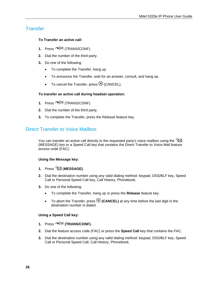## <span id="page-31-0"></span>**Transfer**

#### **To Transfer an active call:**

- **1.** Press  $\sim$   $\sqrt{52}$  (TRANS/CONF).
- **2.** Dial the number of the third party.
- **3.** Do one of the following:
	- To complete the Transfer, hang up.
	- To announce the Transfer, wait for an answer, consult, and hang up.
	- To cancel the Transfer, press  $\otimes$  (CANCEL).

#### **To transfer an active call during headset operation:**

- **1.** Press  $\sim$   $\sqrt{5R}$  (TRANS/CONF).
- **2.** Dial the number of the third party.
- **3.** To complete the Transfer, press the Release feature key.

## <span id="page-31-1"></span>Direct Transfer to Voice Mailbox

You can transfer an active call directly to the requested party's voice mailbox using the  $\mathbb{Z}$ (MESSAGE) key or a Speed Call key that contains the Direct Transfer to Voice Mail feature access code (FAC).

#### **Using the Message key:**

- **1.** Press (**MESSAGE)**.
- **2.** Dial the destination number using any valid dialing method: keypad, DSS/BLF key, Speed Call or Personal Speed Call key, Call History, Phonebook.
- **3.** Do one of the following:
	- To complete the Transfer, hang up or press the **Release** feature key.
	- To abort the Transfer, press **8 (CANCEL)** at any time before the last digit in the destination number is dialed.

#### **Using a Speed Call key:**

- **1.** Press **(TRANS/CONF).**
- **2.** Dial the feature access code (FAC) or press the **Speed Call** key that contains the FAC.
- **3.** Dial the destination number using any valid dialing method: keypad, DSS/BLF key, Speed Call or Personal Speed Call, Call History, Phonebook.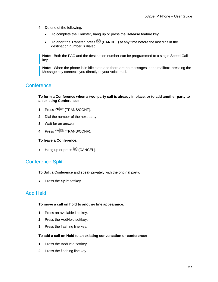- **4.** Do one of the following:
	- To complete the Transfer, hang up or press the **Release** feature key.
	- To abort the Transfer, press  $\otimes$  (**CANCEL**) at any time before the last digit in the destination number is dialed.

**Note:** Both the FAC and the destination number can be programmed to a single Speed Call key.

**Note:** When the phone is in idle state and there are no messages in the mailbox, pressing the Message key connects you directly to your voice mail.

## <span id="page-32-0"></span>**Conference**

**To form a Conference when a two–party call is already in place, or to add another party to an existing Conference:** 

- **1.** Press  $\sim$   $\sqrt{50}$  (TRANS/CONF).
- **2.** Dial the number of the next party.
- **3.** Wait for an answer.
- **4.** Press  $\sim$   $\sqrt{5R}$  (TRANS/CONF).

#### **To leave a Conference:**

 $\bullet$  Hang up or press  $\otimes$  (CANCEL).

## <span id="page-32-1"></span>Conference Split

To Split a Conference and speak privately with the original party:

Press the **Split** softkey.

## <span id="page-32-2"></span>Add Held

#### **To move a call on hold to another line appearance:**

- **1.** Press an available line key.
- **2.** Press the AddHeld softkey.
- **3.** Press the flashing line key.

#### **To add a call on Hold to an existing conversation or conference:**

- **1.** Press the AddHeld softkey.
- **2.** Press the flashing line key.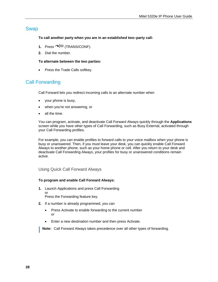## <span id="page-33-0"></span>Swap

#### **To call another party when you are in an established two–party call:**

- **1.** Press  $\sim$   $\sqrt{52}$  (TRANS/CONF).
- **2.** Dial the number.

#### **To alternate between the two parties:**

• Press the Trade Calls softkey.

## <span id="page-33-1"></span>Call Forwarding

Call Forward lets you redirect incoming calls to an alternate number when

- your phone is busy,
- when you're not answering, or
- all the time.

You can program, activate, and deactivate Call Forward Always quickly through the **Applications** screen while you have other types of Call Forwarding, such as Busy External, activated through your Call Forwarding profiles.

For example, you can enable profiles to forward calls to your voice mailbox when your phone is busy or unanswered. Then, if you must leave your desk, you can quickly enable Call Forward Always to another phone, such as your home phone or cell. After you return to your desk and deactivate Call Forwarding Always, your profiles for busy or unanswered conditions remain active.

#### <span id="page-33-2"></span>Using Quick Call Forward Always

#### **To program and enable Call Forward Always:**

**1.** Launch Applications and press Call Forwarding or

Press the Forwarding feature key.

- **2.** If a number is already programmed, you can
	- Press Activate to enable forwarding to the current number or
	- Enter a new destination number and then press Activate.

**Note:** Call Forward Always takes precedence over all other types of forwarding.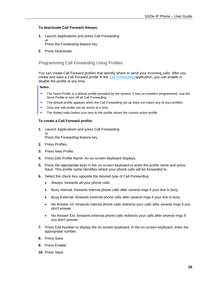#### **To deactivate Call Forward Always:**

- **1.** Launch Applications and press Call Forwarding or Press the Forwarding feature key
- **2.** Press Deactivate.

## <span id="page-34-0"></span>Programming Call Forwarding Using Profiles

You can create Call Forward profiles that identify where to send your incoming calls. After you create and save a Call Forward profile in the [Call Forwarding](#page-33-1) application, you can enable or disable the profile at any time.

#### **Notes:**

- The None Profile is a default profile provided by the system. It has no numbers programmed. Use the None Profile to turn off all Call Forwarding.
- The default profile appears when the Call Forwarding set up does not match any of your profiles.
- Only one call profile can be active at a time.
- The dotted radio button icon next to the profile shows the current active profile.

#### **To create a Call Forward profile:**

- **1.** Launch Applications and press Call Forwarding or Press the Forwarding feature key.
- **2.** Press Profiles.
- **3.** Press New Profile.
- **4.** Press Edit Profile Name. An on-screen keyboard displays.
- **5.** Press the appropriate keys in the on-screen keyboard to enter the profile name and press Save. This profile name identifies where your phone calls will be forwarded to.
- **6.** Select the check box opposite the desired type of Call Forwarding:
	- Always: forwards all your phone calls
	- Busy Internal: forwards internal phone calls after several rings if your line is busy
	- Busy External: forwards external phone calls after several rings if your line is busy
	- No Answer Int: forwards internal phone calls redirects your calls after several rings if you don't answer
	- No Answer Ext: forwards external phone calls redirects your calls after several rings if you don't answer
- **7.** Press Edit Number to display the on-screen keyboard. In the on-screen keyboard, enter the appropriate number.
- **8.** Press Save.
- **9.** Press Enable.
- **10.** Press Save.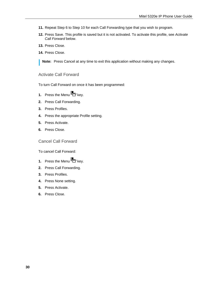- **11.** Repeat Step 6 to Step 10 for each Call Forwarding type that you wish to program.
- **12.** Press Save. This profile is saved but it is not activated. To activate this profile, see *Activate Call Forward* below.
- **13.** Press Close.
- **14.** Press Close.

**Note:** Press Cancel at any time to exit this application without making any changes.

### <span id="page-35-0"></span>Activate Call Forward

To turn Call Forward on once it has been programmed:

- **1.** Press the Menu **b** key.
- **2.** Press Call Forwarding.
- **3.** Press Profiles.
- **4.** Press the appropriate Profile setting.
- **5.** Press Activate.
- **6.** Press Close.

<span id="page-35-1"></span>Cancel Call Forward

To cancel Call Forward:

- **1.** Press the Menu **b** key.
- **2.** Press Call Forwarding.
- **3.** Press Profiles.
- **4.** Press None setting.
- **5.** Press Activate.
- **6.** Press Close.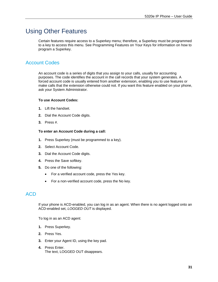## <span id="page-36-0"></span>Using Other Features

Certain features require access to a Superkey menu; therefore, a Superkey must be programmed to a key to access this menu. See [Programming Features on Your Keys](#page-22-3) for information on how to program a Superkey.

## <span id="page-36-1"></span>Account Codes

An account code is a series of digits that you assign to your calls, usually for accounting purposes. The code identifies the account in the call records that your system generates. A forced account code is usually entered from another extension, enabling you to use features or make calls that the extension otherwise could not. If you want this feature enabled on your phone, ask your System Administrator.

#### **To use Account Codes:**

- **1.** Lift the handset.
- **2.** Dial the Account Code digits.
- **3.** Press #.

#### **To enter an Account Code during a call:**

- **1.** Press Superkey (must be programmed to a key).
- **2.** Select Account Code.
- **3.** Dial the Account Code digits.
- **4.** Press the Save softkey.
- **5.** Do one of the following:
	- For a verified account code, press the Yes key.
	- For a non-verified account code, press the No key.

## <span id="page-36-2"></span>ACD

If your phone is ACD-enabled, you can log in as an agent. When there is no agent logged onto an ACD-enabled set, *LOGGED OUT* is displayed.

To log in as an ACD agent:

- **1.** Press Superkey.
- **2.** Press Yes.
- **3.** Enter your Agent ID, using the key pad.
- **4.** Press Enter. The text, LOGGED OUT disappears.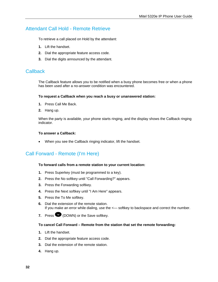## <span id="page-37-0"></span>Attendant Call Hold - Remote Retrieve

To retrieve a call placed on Hold by the attendant:

- **1.** Lift the handset.
- **2.** Dial the appropriate feature access code.
- **3.** Dial the digits announced by the attendant.

### <span id="page-37-1"></span>**Callback**

The Callback feature allows you to be notified when a busy phone becomes free or when a phone has been used after a no-answer condition was encountered.

#### **To request a Callback when you reach a busy or unanswered station:**

- **1.** Press Call Me Back.
- **2.** Hang up.

When the party is available, your phone starts ringing, and the display shows the Callback ringing indicator.

#### **To answer a Callback:**

• When you see the Callback ringing indicator, lift the handset.

## <span id="page-37-2"></span>Call Forward - Remote (I'm Here)

#### **To forward calls from a remote station to your current location:**

- **1.** Press Superkey (must be programmed to a key).
- **2.** Press the No softkey until "Call Forwarding?" appears.
- **3.** Press the Forwarding softkey.
- **4.** Press the Next softkey until "I Am Here" appears.
- **5.** Press the To Me softkey.
- **6.** Dial the extension of the remote station. If you make an error while dialing, use the <- softkey to backspace and correct the number.
- **7.** Press **(DOWN)** or the Save softkey.

#### **To cancel Call Forward – Remote from the station that set the remote forwarding:**

- **1.** Lift the handset.
- **2.** Dial the appropriate feature access code.
- **3.** Dial the extension of the remote station.
- **4.** Hang up.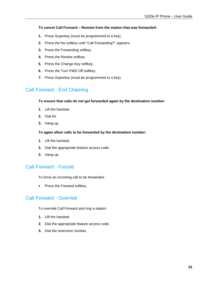#### **To cancel Call Forward – Remote from the station that was forwarded:**

- **1.** Press Superkey (must be programmed to a key).
- **2.** Press the No softkey until "Call Forwarding?" appears.
- **3.** Press the Forwarding softkey.
- **4.** Press the Review softkey.
- **5.** Press the Change Key softkey.
- **6.** Press the Turn FWD Off softkey.
- **7.** Press Superkey (must be programmed to a key).

## <span id="page-38-0"></span>Call Forward - End Chaining

#### **To ensure that calls do not get forwarded again by the destination number:**

- **1.** Lift the handset.
- **2.** Dial 64.
- **3.** Hang up.

#### **To again allow calls to be forwarded by the destination number:**

- **1.** Lift the handset.
- **2.** Dial the appropriate feature access code.
- **3.** Hang up.

## <span id="page-38-1"></span>Call Forward - Forced

To force an incoming call to be forwarded:

• Press the Forward softkey.

## <span id="page-38-2"></span>Call Forward - Override

To override Call Forward and ring a station:

- **1.** Lift the handset.
- **2.** Dial the appropriate feature access code.
- **3.** Dial the extension number.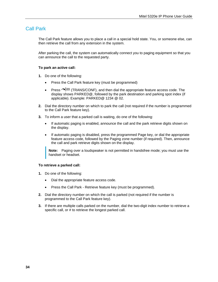## <span id="page-39-0"></span>Call Park

The Call Park feature allows you to place a call in a special hold state. You, or someone else, can then retrieve the call from any extension in the system.

After parking the call, the system can automatically connect you to paging equipment so that you can announce the call to the requested party.

#### **To park an active call:**

- **1.** Do one of the following:
	- Press the Call Park feature key (must be programmed)
	- Press  $\bigtriangleup$  ( $\mathbb{R}$  (TRANS/CONF), and then dial the appropriate feature access code. The display shows PARKED@, followed by the park destination and parking spot index (if applicable). Example: PARKED@ 1234 @ 02.
- **2.** Dial the directory number on which to park the call (not required if the number is programmed to the Call Park feature key).
- **3.** To inform a user that a parked call is waiting, do one of the following:
	- If automatic paging is enabled, announce the call and the park retrieve digits shown on the display.
	- If automatic paging is disabled, press the programmed Page key, or dial the appropriate feature access code, followed by the Paging zone number (if required). Then, announce the call and park retrieve digits shown on the display.

**Note:** Paging over a loudspeaker is not permitted in handsfree mode; you must use the handset or headset.

#### **To retrieve a parked call:**

- **1.** Do one of the following:
	- Dial the appropriate feature access code.
	- Press the Call Park Retrieve feature key (must be programmed).
- **2.** Dial the directory number on which the call is parked (not required if the number is programmed to the Call Park feature key).
- **3.** If there are multiple calls parked on the number, dial the two-digit index number to retrieve a specific call, or # to retrieve the longest parked call.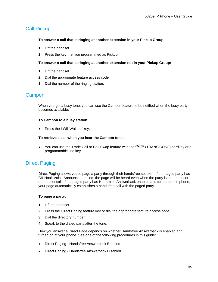## <span id="page-40-0"></span>Call Pickup

#### **To answer a call that is ringing at another extension in your Pickup Group:**

- **1.** Lift the handset.
- **2.** Press the key that you programmed as Pickup.

#### **To answer a call that is ringing at another extension not in your Pickup Group:**

- **1.** Lift the handset.
- **2.** Dial the appropriate feature access code.
- **3.** Dial the number of the ringing station.

### <span id="page-40-1"></span>**Campon**

When you get a busy tone, you can use the Campon feature to be notified when the busy party becomes available.

#### **To Campon to a busy station:**

Press the I Will Wait softkey.

#### **To retrieve a call when you hear the Campon tone:**

You can use the Trade Call or Call Swap feature with the  $\sim$  (TRANS/CONF) hardkey or a programmable line key.

## <span id="page-40-2"></span>Direct Paging

Direct Paging allows you to page a party through their handsfree speaker. If the paged party has Off-Hook Voice Announce enabled, the page will be heard even when the party is on a handset or headset call. If the paged party has Handsfree Answerback enabled and turned on the phone, your page automatically establishes a handsfree call with the paged party.

#### **To page a party:**

- **1.** Lift the handset.
- **2.** Press the Direct Paging feature key or dial the appropriate feature access code.
- **3.** Dial the directory number.
- **4.** Speak to the dialed party after the tone.

How you answer a Direct Page depends on whether Handsfree Answerback is enabled and turned on at your phone. See one of the following procedures in this guide:

- Direct Paging Handsfree Answerback Enabled
- Direct Paging Handsfree Answerback Disabled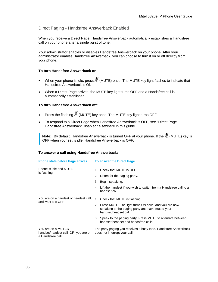#### <span id="page-41-0"></span>Direct Paging - Handsfree Answerback Enabled

When you receive a Direct Page, Handsfree Answerback automatically establishes a Handsfree call on your phone after a single burst of tone.

Your administrator enables or disables Handsfree Answerback on your phone. After your administrator enables Handsfree Answerback, you can choose to turn it on or off directly from your phone.

#### **To turn Handsfree Answerback on:**

- When your phone is idle, press  $\stackrel{M}{\sim}$  (MUTE) once. The MUTE key light flashes to indicate that Handsfree Answerback is ON.
- When a Direct Page arrives, the MUTE key light turns OFF and a Handsfree call is automatically established.

#### **To turn Handsfree Answerback off:**

- Press the flashing  $\cancel{\mathbb{P}}$  (MUTE) key once. The MUTE key light turns OFF.
- To respond to a Direct Page when Handsfree Answerback is OFF, see "Direct Page Handsfree Answerback Disabled" elsewhere in this guide.

**Note:** By default, Handsfree Answerback is turned OFF at your phone. If the M (MUTE) key is OFF when your set is idle, Handsfree Answerback is OFF.

#### **Phone state before Page arrives To answer the Direct Page**  Phone is idle and MUTE is flashing 1. Check that MUTE is OFF. 2. Listen for the paging party. 3. Begin speaking. 4. Lift the handset if you wish to switch from a Handsfree call to a handset call. You are on a handset or headset call, and MUTE is OFF 1. Check that MUTE is flashing. 2. Press MUTE. The light turns ON solid, and you are now speaking to the paging party and have muted your handset/headset call. 3. Speak to the paging party. Press MUTE to alternate between handset/headset and handsfree calls. You are on a MUTED handset/headset call, OR, you are on a Handsfree call The party paging you receives a busy tone. Handsfree Answerback does not interrupt your call.

#### **To answer a call using Handsfree Answerback:**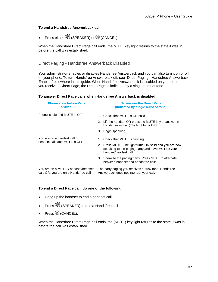#### **To end a Handsfree Answerback call:**

Press either  $(\overline{\psi})$  (SPEAKER) or  $\otimes$  (CANCEL).

When the Handsfree Direct Page call ends, the MUTE key light returns to the state it was in before the call was established.

<span id="page-42-0"></span>Direct Paging - Handsfree Answerback Disabled

Your administrator enables or disables Handsfree Answerback and you can also turn it on or off on your phone. To turn Handsfree Answerback off, see "Direct Paging - Handsfree Answerback Enabled" elsewhere in this guide. When Handsfree Answerback is disabled on your phone and you receive a Direct Page, the Direct Page is indicated by a single burst of tone.

| <b>Phone state before Page</b><br>arrives:                                  | <b>To answer the Direct Page</b><br>(indicated by single burst of tone):                                                             |
|-----------------------------------------------------------------------------|--------------------------------------------------------------------------------------------------------------------------------------|
| Phone is idle and MUTE is OFF.                                              | 1. Check that MUTE is ON solid.                                                                                                      |
|                                                                             | 2. Lift the handset OR press the MUTE key to answer in<br>Handsfree mode. (The light turns OFF.)                                     |
|                                                                             | 3. Begin speaking.                                                                                                                   |
| You are on a handset call or<br>headset call, and MUTE is OFF               | 1. Check that MUTE is flashing.                                                                                                      |
|                                                                             | 2. Press MUTE. The light turns ON solid and you are now<br>speaking to the paging party and have MUTED your<br>handset/headset call. |
|                                                                             | 3. Speak to the paging party. Press MUTE to alternate<br>between handset and handsfree calls.                                        |
| You are on a MUTED handset/headset<br>call, OR, you are on a Handsfree call | The party paging you receives a busy tone. Handsfree<br>Answerback does not interrupt your call.                                     |

#### **To answer Direct Page calls when Handsfree Answerback is disabled:**

#### **To end a Direct Page call, do one of the following:**

- Hang up the handset to end a handset call.
- Press  $\Psi$ ) (SPEAKER) to end a Handsfree call.
- $Press \otimes$  (CANCEL).

When the Handsfree Direct Page call ends, the (MUTE) key light returns to the state it was in before the call was established.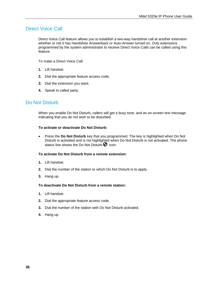## <span id="page-43-0"></span>Direct Voice Call

Direct Voice Call feature allows you to establish a two-way handsfree call at another extension whether or not it has Handsfree Answerback or Auto-Answer turned on. Only extensions programmed by the system administrator to receive Direct Voice Calls can be called using this feature.

To make a Direct Voice Call:

- **1.** Lift handset.
- **2.** Dial the appropriate feature access code.
- **3.** Dial the extension you want.
- **4.** Speak to called party.

## <span id="page-43-1"></span>Do Not Disturb

When you enable Do Not Disturb, callers will get a busy tone, and an on-screen text message indicating that you do not wish to be disturbed.

#### **To activate or deactivate Do Not Disturb:**

 Press the **Do Not Disturb** key that you programmed. The key is highlighted when Do Not Disturb is activated and is not highlighted when Do Not Disturb is not activated. The phone status line shows the Do Not Disturb  $\bullet$  icon.

#### **To activate Do Not Disturb from a remote extension:**

- **1.** Lift handset.
- **2.** Dial the number of the station to which Do Not Disturb is to apply.
- **3.** Hang up.

#### **To deactivate Do Not Disturb from a remote station:**

- **1.** Lift handset.
- **2.** Dial the appropriate feature access code.
- **3.** Dial the number of the station with Do Not Disturb activated.
- **4.** Hang up.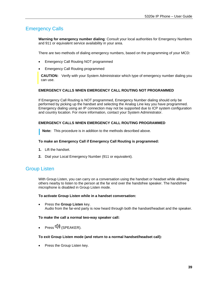## <span id="page-44-0"></span>Emergency Calls

**Warning for emergency number dialing**: Consult your local authorities for Emergency Numbers and 911 or equivalent service availability in your area.

There are two methods of dialing emergency numbers, based on the programming of your MCD:

- Emergency Call Routing NOT programmed
- Emergency Call Routing programmed

**CAUTION:** Verify with your System Administrator which type of emergency number dialing you can use.

#### **EMERGENCY CALLS WHEN EMERGENCY CALL ROUTING NOT PROGRAMMED**

If Emergency Call Routing is NOT programmed, Emergency Number dialing should only be performed by picking up the handset and selecting the Analog Line key you have programmed. Emergency dialing using an IP connection may not be supported due to ICP system configuration and country location. For more information, contact your System Administrator.

#### **EMERGENCY CALLS WHEN EMERGENCY CALL ROUTING PROGRAMMED**

**Note:** This procedure is in addition to the methods described above.

#### **To make an Emergency Call if Emergency Call Routing is programmed:**

- **1.** Lift the handset.
- **2.** Dial your Local Emergency Number (911 or equivalent).

## <span id="page-44-1"></span>Group Listen

With Group Listen, you can carry on a conversation using the handset or headset while allowing others nearby to listen to the person at the far end over the handsfree speaker. The handsfree microphone is disabled in Group Listen mode.

#### **To activate Group Listen while in a handset conversation:**

 Press the **Group Listen** key. Audio from the far-end party is now heard through both the handset/headset and the speaker.

#### **To make the call a normal two-way speaker call:**

 $Press$   $\overline{\psi}$  (SPEAKER).

#### **To exit Group Listen mode (and return to a normal handset/headset call):**

Press the Group Listen key.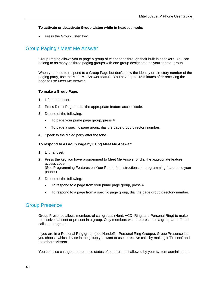#### **To activate or deactivate Group Listen while in headset mode:**

• Press the Group Listen key.

## <span id="page-45-0"></span>Group Paging / Meet Me Answer

Group Paging allows you to page a group of telephones through their built-in speakers. You can belong to as many as three paging groups with one group designated as your "prime" group.

When you need to respond to a Group Page but don't know the identity or directory number of the paging party, use the Meet Me Answer feature. You have up to 15 minutes after receiving the page to use Meet Me Answer.

#### **To make a Group Page:**

- **1.** Lift the handset.
- **2.** Press Direct Page or dial the appropriate feature access code.
- **3.** Do one of the following:
	- To page your prime page group, press #.
	- To page a specific page group, dial the page group directory number.
- **4.** Speak to the dialed party after the tone.

#### **To respond to a Group Page by using Meet Me Answer:**

- **1.** Lift handset.
- **2.** Press the key you have programmed to Meet Me Answer or dial the appropriate feature access code. (See [Programming Features on Your Phone](#page-22-0) for instructions on programming features to your phone.)
- **3.** Do one of the following:
	- To respond to a page from your prime page group, press #.
	- To respond to a page from a specific page group, dial the page group directory number.

## <span id="page-45-1"></span>Group Presence

Group Presence allows members of call groups (Hunt, ACD, Ring, and Personal Ring) to make themselves absent or present in a group. Only members who are present in a group are offered calls to that group.

If you are in a Personal Ring group (see Handoff – Personal Ring Groups), Group Presence lets you choose which device in the group you want to use to receive calls by making it 'Present' and the others 'Absent.'

You can also change the presence status of other users if allowed by your system administrator.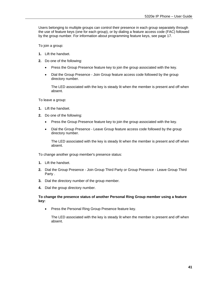Users belonging to multiple groups can control their presence in each group separately through the use of feature keys (one for each group), or by dialing a feature access code (FAC) followed by the group number. For information about programming feature keys, see page [17.](#page-22-3)

To join a group:

- **1.** Lift the handset.
- **2.** Do one of the following:
	- Press the Group Presence feature key to join the group associated with the key.
	- Dial the Group Presence Join Group feature access code followed by the group directory number.

The LED associated with the key is steady lit when the member is present and off when absent.

To leave a group:

- **1.** Lift the handset.
- **2.** Do one of the following:
	- Press the Group Presence feature key to join the group associated with the key.
	- Dial the Group Presence Leave Group feature access code followed by the group directory number.

The LED associated with the key is steady lit when the member is present and off when absent.

To change another group member's presence status:

- **1.** Lift the handset.
- **2.** Dial the Group Presence Join Group Third Party or Group Presence Leave Group Third Party .
- **3.** Dial the directory number of the group member.
- **4.** Dial the group directory number.

#### **To change the presence status of another Personal Ring Group member using a feature key:**

• Press the Personal Ring Group Presence feature key.

The LED associated with the key is steady lit when the member is present and off when absent.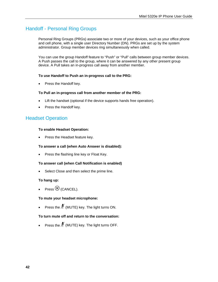## <span id="page-47-0"></span>Handoff - Personal Ring Groups

Personal Ring Groups (PRGs) associate two or more of your devices, such as your office phone and cell phone, with a single user Directory Number (DN). PRGs are set up by the system administrator. Group member devices ring simultaneously when called.

You can use the group Handoff feature to "Push" or "Pull" calls between group member devices. A Push passes the call to the group, where it can be answered by any other present group device. A Pull takes an in-progress call away from another member.

#### **To use Handoff to Push an in-progress call to the PRG:**

Press the Handoff key.

#### **To Pull an in-progress call from another member of the PRG:**

- Lift the handset (optional if the device supports hands free operation).
- Press the Handoff key.

## <span id="page-47-1"></span>Headset Operation

#### **To enable Headset Operation:**

• Press the Headset feature key.

#### **To answer a call (when Auto Answer is disabled):**

• Press the flashing line key or Float Key.

#### **To answer call (when Call Notification is enabled)**

Select Close and then select the prime line.

#### **To hang up:**

 $Press$   $\otimes$  (CANCEL).

#### **To mute your headset microphone:**

Press the  $\AA$  (MUTE) key. The light turns ON.

#### **To turn mute off and return to the conversation:**

Press the  $\stackrel{M}{\sim}$  (MUTE) key. The light turns OFF.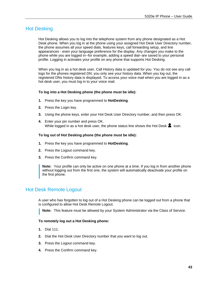## <span id="page-48-0"></span>Hot Desking

Hot Desking allows you to log into the telephone system from any phone designated as a Hot Desk phone. When you log in at the phone using your assigned Hot Desk User Directory number, the phone assumes all your speed dials, features keys, call forwarding setup, and line appearances - even your language preference for the display. Any changes you make to the phone while you are logged in--for example, adding a speed dial--are saved to your personal profile. Logging in activates your profile on any phone that supports Hot Desking.

When you log in as a hot desk user, Call History data is updated for you. You do not see any call logs for the phones registered DN; you only see your history data. When you log out, the registered DNs history data is displayed. To access your voice mail when you are logged in as a hot desk user, you must log in to your voice mail.

#### **To log into a Hot Desking phone (the phone must be idle):**

- **1.** Press the key you have programmed to **HotDesking**.
- **2.** Press the Login key.
- **3.** Using the phone keys, enter your Hot Desk User Directory number, and then press OK.
- **4.** Enter your pin number and press OK. While logged in as a hot desk user, the phone status line shows the Hot Desk  $\blacktriangle$  icon.

#### **To log out of Hot Desking phone (the phone must be idle):**

- **1.** Press the key you have programmed to **HotDesking**.
- **2.** Press the Logout command key.
- **3.** Press the Confirm command key.

**Note:** Your profile can only be active on one phone at a time. If you log in from another phone without logging out from the first one, the system will automatically deactivate your profile on the first phone.

## <span id="page-48-1"></span>Hot Desk Remote Logout

A user who has forgotten to log out of a Hot Desking phone can be logged out from a phone that is configured to allow Hot Desk Remote Logout.

**Note:** This feature must be allowed by your System Administrator via the Class of Service.

#### **To remotely log out a Hot Desking phone:**

- **1.** Dial 111.
- **2.** Dial the Hot Desk User Directory number that you want to log out.
- **3.** Press the Logout command key.
- **4.** Press the Confirm command key.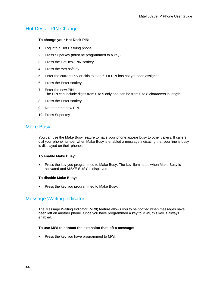## <span id="page-49-0"></span>Hot Desk - PIN Change

#### **To change your Hot Desk PIN:**

- **1.** Log into a Hot Desking phone.
- **2.** Press Superkey (must be programmed to a key).
- **3.** Press the HotDesk PIN softkey.
- **4.** Press the Yes softkey.
- **5.** Enter the current PIN or skip to step 6 if a PIN has not yet been assigned.
- **6.** Press the Enter softkey.
- **7.** Enter the new PIN. The PIN can include digits from 0 to 9 only and can be from 0 to 8 characters in length.
- **8.** Press the Enter softkey.
- **9.** Re-enter the new PIN.
- **10.** Press Superkey.

## <span id="page-49-1"></span>Make Busy

You can use the Make Busy feature to have your phone appear busy to other callers. If callers dial your phone number when Make Busy is enabled a message indicating that your line is busy is displayed on their phones.

#### **To enable Make Busy:**

• Press the key you programmed to Make Busy. The key illuminates when Make Busy is activated and *MAKE BUSY* is displayed.

#### **To disable Make Busy:**

• Press the key you programmed to Make Busy.

## <span id="page-49-2"></span>Message Waiting Indicator

The Message Waiting Indicator (MWI) feature allows you to be notified when messages have been left on another phone. Once you have programmed a key to MWI, this key is always enabled.

#### **To use MWI to contact the extension that left a message:**

• Press the key you have programmed to MWI.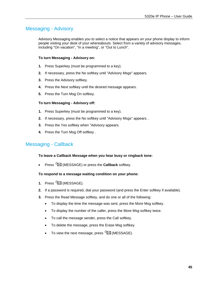## <span id="page-50-0"></span>Messaging - Advisory

Advisory Messaging enables you to select a notice that appears on your phone display to inform people visiting your desk of your whereabouts. Select from a variety of advisory messages, including "On vacation", "In a meeting", or "Out to Lunch".

#### **To turn Messaging - Advisory on:**

- **1.** Press Superkey (must be programmed to a key).
- **2.** If necessary, press the No softkey until "Advisory Msgs" appears.
- **3.** Press the Advisory softkey.
- **4.** Press the Next softkey until the desired message appears.
- **5.** Press the Turn Msg On softkey.

#### **To turn Messaging - Advisory off:**

- **1.** Press Superkey (must be programmed to a key).
- **2.** If necessary, press the No softkey until "Advisory Msgs" appears. .
- **3.** Press the Yes softkey when "Advisory appears.
- **4.** Press the Turn Msg Off softkey .

## <span id="page-50-1"></span>Messaging - Callback

#### **To leave a Callback Message when you hear busy or ringback tone:**

Press (MESSAGE) or press the **Callback** softkey.

#### **To respond to a message waiting condition on your phone:**

- 1. Press<sup>S</sup><sub>[2</sub>] (MESSAGE).
- **2.** If a password is required, dial your password (and press the Enter softkey if available).
- **3.** Press the Read Message softkey, and do one or all of the following:
	- To display the time the message was sent, press the More Msg softkey.
	- To display the number of the caller, press the More Msg softkey twice.
	- To call the message sender, press the Call softkey.
	- To delete the message, press the Erase Msg softkey.
	- $\bullet$  To view the next message, press  $\mathbb{Z}$  (MESSAGE).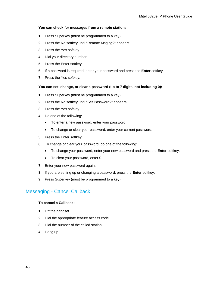#### **You can check for messages from a remote station:**

- **1.** Press Superkey (must be programmed to a key).
- **2.** Press the No softkey until "Remote Msging?" appears.
- **3.** Press the Yes softkey.
- **4.** Dial your directory number.
- **5.** Press the Enter softkey.
- **6.** If a password is required, enter your password and press the **Enter** softkey.
- **7.** Press the Yes softkey.

#### **You can set, change, or clear a password (up to 7 digits, not including 0):**

- **1.** Press Superkey (must be programmed to a key).
- **2.** Press the No softkey until "Set Password?" appears.
- **3.** Press the Yes softkey.
- **4.** Do one of the following:
	- To enter a new password, enter your password.
	- To change or clear your password, enter your current password.
- **5.** Press the Enter softkey.
- **6.** To change or clear your password, do one of the following:
	- To change your password, enter your new password and press the **Enter** softkey.
	- To clear your password, enter 0.
- **7.** Enter your new password again.
- **8.** If you are setting up or changing a password, press the **Enter** softkey.
- **9.** Press Superkey (must be programmed to a key).

## <span id="page-51-0"></span>Messaging - Cancel Callback

#### **To cancel a Callback:**

- **1.** Lift the handset.
- **2.** Dial the appropriate feature access code.
- **3.** Dial the number of the called station.
- **4.** Hang up.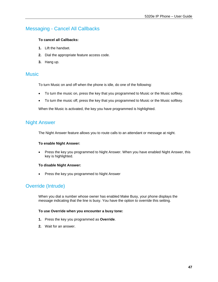## <span id="page-52-0"></span>Messaging - Cancel All Callbacks

#### **To cancel all Callbacks:**

- **1.** Lift the handset.
- **2.** Dial the appropriate feature access code.
- **3.** Hang up.

#### <span id="page-52-1"></span>**Music**

To turn Music on and off when the phone is idle, do one of the following:

- To turn the music on, press the key that you programmed to Music or the Music softkey.
- To turn the music off, press the key that you programmed to Music or the Music softkey.

When the Music is activated, the key you have programmed is highlighted.

### <span id="page-52-2"></span>Night Answer

The Night Answer feature allows you to route calls to an attendant or message at night.

#### **To enable Night Answer:**

 Press the key you programmed to Night Answer. When you have enabled Night Answer, this key is highlighted.

#### **To disable Night Answer:**

Press the key you programmed to Night Answer

## <span id="page-52-3"></span>Override (Intrude)

When you dial a number whose owner has enabled Make Busy, your phone displays the message indicating that the line is busy. You have the option to override this setting.

#### **To use Override when you encounter a busy tone:**

- **1.** Press the key you programmed as **Override**.
- **2.** Wait for an answer.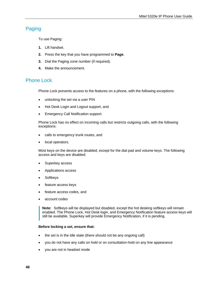## <span id="page-53-0"></span>Paging

To use Paging:

- **1.** Lift handset.
- **2.** Press the key that you have programmed to **Page**.
- **3.** Dial the Paging zone number (if required).
- **4.** Make the announcement.

## <span id="page-53-1"></span>Phone Lock

Phone Lock prevents access to the features on a phone, with the following exceptions:

- unlocking the set via a user PIN
- Hot Desk Login and Logout support, and
- Emergency Call Notification support.

Phone Lock has no effect on incoming calls but restricts outgoing calls, with the following exceptions:

- calls to emergency trunk routes, and
- local operators.

Most keys on the device are disabled, except for the dial pad and volume keys. The following access and keys are disabled:

- Superkey access
- Applications access
- **Softkeys**
- feature access keys
- feature access codes, and
- account codes

**Note:** Softkeys will be displayed but disabled, except the hot desking softkeys will remain enabled. The Phone Lock, Hot Desk login, and Emergency Notification feature access keys will still be available. Superkey will provide Emergency Notification, if it is pending.

#### **Before locking a set, ensure that:**

- the set is in the idle state (there should not be any ongoing call)
- you do not have any calls on hold or on consultation-hold on any line appearance
- you are not in headset mode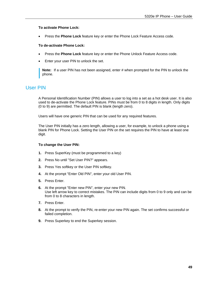#### **To activate Phone Lock:**

Press the **Phone Lock** feature key or enter the Phone Lock Feature Access code.

#### **To de-activate Phone Lock:**

- Press the **Phone Lock** feature key or enter the Phone Unlock Feature Access code.
- Enter your user PIN to unlock the set.

**Note:** If a user PIN has not been assigned, enter # when prompted for the PIN to unlock the phone.

## <span id="page-54-0"></span>User PIN

A Personal Identification Number (PIN) allows a user to log into a set as a hot desk user. It is also used to de-activate the Phone Lock feature. PINs must be from 0 to 8 digits in length. Only digits (0 to 9) are permitted. The default PIN is blank (length zero).

Users will have one generic PIN that can be used for any required features.

The User PIN initially has a zero length, allowing a user, for example, to unlock a phone using a blank PIN for Phone Lock. Setting the User PIN on the set requires the PIN to have at least one digit.

#### **To change the User PIN:**

- **1.** Press SuperKey (must be programmed to a key)
- **2.** Press No until "Set User PIN?" appears.
- **3.** Press Yes softkey or the User PIN softkey.
- **4.** At the prompt "Enter Old PIN", enter your old User PIN.
- **5.** Press Enter.
- **6.** At the prompt "Enter new PIN", enter your new PIN. Use left arrow key to correct mistakes. The PIN can include digits from 0 to 9 only and can be from 0 to 8 characters in length.
- **7.** Press Enter.
- **8.** At the prompt to verify the PIN, re-enter your new PIN again. The set confirms successful or failed completion.
- **9.** Press Superkey to end the Superkey session.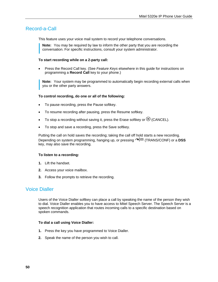## <span id="page-55-0"></span>Record-a-Call

This feature uses your voice mail system to record your telephone conversations.

**Note:** You may be required by law to inform the other party that you are recording the conversation. For specific instructions, consult your system administrator.

#### **To start recording while on a 2-party call:**

 Press the Record Call key. (See *Feature Keys* elsewhere in this guide for instructions on programming a **Record Call** key to your phone.)

**Note:** Your system may be programmed to automatically begin recording external calls when you or the other party answers.

#### **To control recording, do one or all of the following:**

- To pause recording, press the Pause softkey.
- To resume recording after pausing, press the Resume softkey.
- To stop a recording without saving it, press the Erase softkey or  $\otimes$  (CANCEL).
- To stop and save a recording, press the Save softkey.

Putting the call on hold saves the recording; taking the call off hold starts a new recording. Depending on system programming, hanging up, or pressing (TRANS/CONF) or a **DSS** key, may also save the recording.

#### **To listen to a recording:**

- **1.** Lift the handset.
- **2.** Access your voice mailbox.
- **3.** Follow the prompts to retrieve the recording.

### <span id="page-55-1"></span>Voice Dialler

Users of the Voice Dialler softkey can place a call by speaking the name of the person they wish to dial. Voice Dialler enables you to have access to Mitel Speech Server. The Speech Server is a speech recognition application that routes incoming calls to a specific destination based on spoken commands.

#### **To dial a call using Voice Dialler:**

- **1.** Press the key you have programmed to Voice Dialler.
- **2.** Speak the name of the person you wish to call.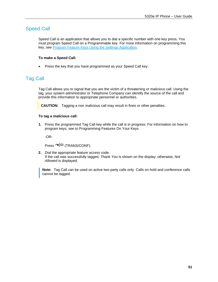## <span id="page-56-0"></span>Speed Call

Speed Call is an application that allows you to dial a specific number with one key press. You must program Speed Call on a Programmable key. For more information on programming this key, see [Program Feature Keys Using the Settings Application](#page-24-0)*.*

#### **To make a Speed Call:**

• Press the key that you have programmed as your Speed Call key.

## <span id="page-56-1"></span>Tag Call

Tag Call allows you to signal that you are the victim of a threatening or malicious call. Using the tag, your system administrator or Telephone Company can identify the source of the call and provide this information to appropriate personnel or authorities.

**CAUTION:** Tagging a non malicious call may result in fines or other penalties.

#### **To tag a malicious call:**

**1.** Press the programmed Tag Call key while the call is in progress. For information on how to program keys, see to [Programming Features On Your Keys](#page-22-0)

-OR-

Press  $\sim$   $\sqrt{5R}$  (TRANS/CONF).

**2.** Dial the appropriate feature access code. If the call was successfully tagged, *Thank You* is shown on the display; otherwise, *Not Allowed* is displayed.

**Note:** Tag Call can be used on active two-party calls only. Calls on hold and conference calls cannot be tagged.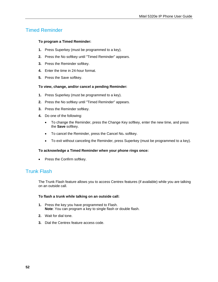## <span id="page-57-0"></span>Timed Reminder

#### **To program a Timed Reminder:**

- **1.** Press Superkey (must be programmed to a key).
- **2.** Press the No softkey until "Timed Reminder" appears.
- **3.** Press the Reminder softkey.
- **4.** Enter the time in 24-hour format.
- **5.** Press the Save softkey.

#### **To view, change, and/or cancel a pending Reminder:**

- **1.** Press Superkey (must be programmed to a key).
- **2.** Press the No softkey until "Timed Reminder" appears.
- **3.** Press the Reminder softkey.
- **4.** Do one of the following:
	- To change the Reminder, press the Change Key softkey, enter the new time, and press the **Save** softkey.
	- To cancel the Reminder, press the Cancel No**.** softkey.
	- To exit without canceling the Reminder, press Superkey (must be programmed to a key).

#### **To acknowledge a Timed Reminder when your phone rings once:**

• Press the Confirm softkey.

## <span id="page-57-1"></span>Trunk Flash

The Trunk Flash feature allows you to access Centrex features (if available) while you are talking on an outside call.

#### **To flash a trunk while talking on an outside call:**

- **1.** Press the key you have programmed to Flash. **Note**: You can program a key to single flash or double flash.
- **2.** Wait for dial tone.
- **3.** Dial the Centrex feature access code.